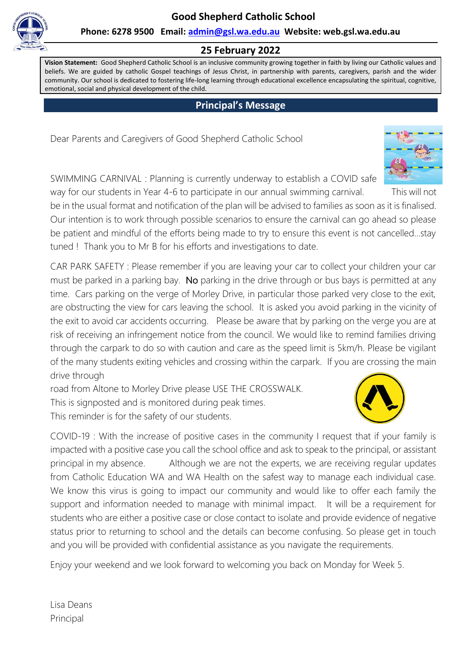**Good Shepherd Catholic School**



**Phone: 6278 9500 Email: [admin@gsl.wa.edu.au](mailto:admin@gsl.wa.edu.au) Website: web.gsl.wa.edu.au**

### **25 February 2022**

**Vision Statement:** Good Shepherd Catholic School is an inclusive community growing together in faith by living our Catholic values and beliefs. We are guided by catholic Gospel teachings of Jesus Christ, in partnership with parents, caregivers, parish and the wider community. Our school is dedicated to fostering life-long learning through educational excellence encapsulating the spiritual, cognitive, emotional, social and physical development of the child.

## **Principal's Message**

Dear Parents and Caregivers of Good Shepherd Catholic School



be in the usual format and notification of the plan will be advised to families as soon as it is finalised. Our intention is to work through possible scenarios to ensure the carnival can go ahead so please be patient and mindful of the efforts being made to try to ensure this event is not cancelled…stay tuned ! Thank you to Mr B for his efforts and investigations to date.

CAR PARK SAFETY : Please remember if you are leaving your car to collect your children your car must be parked in a parking bay. No parking in the drive through or bus bays is permitted at any time. Cars parking on the verge of Morley Drive, in particular those parked very close to the exit, are obstructing the view for cars leaving the school. It is asked you avoid parking in the vicinity of the exit to avoid car accidents occurring. Please be aware that by parking on the verge you are at risk of receiving an infringement notice from the council. We would like to remind families driving through the carpark to do so with caution and care as the speed limit is 5km/h. Please be vigilant of the many students exiting vehicles and crossing within the carpark. If you are crossing the main drive through

road from Altone to Morley Drive please USE THE CROSSWALK. This is signposted and is monitored during peak times. This reminder is for the safety of our students.

COVID-19 : With the increase of positive cases in the community I request that if your family is impacted with a positive case you call the school office and ask to speak to the principal, or assistant principal in my absence. Although we are not the experts, we are receiving regular updates from Catholic Education WA and WA Health on the safest way to manage each individual case. We know this virus is going to impact our community and would like to offer each family the support and information needed to manage with minimal impact. It will be a requirement for students who are either a positive case or close contact to isolate and provide evidence of negative status prior to returning to school and the details can become confusing. So please get in touch and you will be provided with confidential assistance as you navigate the requirements.

Enjoy your weekend and we look forward to welcoming you back on Monday for Week 5.





Lisa Deans Principal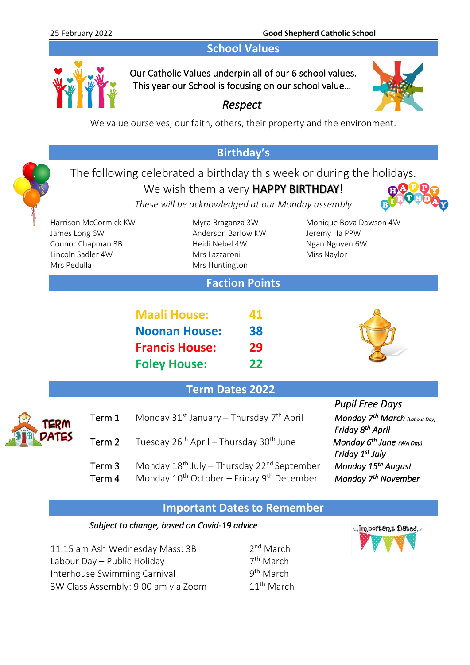# **School Values**



Our Catholic Values underpin all of our 6 school values. This year our School is focusing on our school value…



We value ourselves, our faith, others, their property and the environment.

*Respect* 

# **Birthday's**

# The following celebrated a birthday this week or during the holidays. We wish them a very HAPPY BIRTHDAY!

*These will be acknowledged at our Monday assembly*

James Long 6W Anderson Barlow KW Jeremy Ha PPW Connor Chapman 3B Heidi Nebel 4W Ngan Nguyen 6W Lincoln Sadler 4W Mrs Lazzaroni Miss Naylor Mrs Pedulla Mrs Huntington

Harrison McCormick KW Myra Braganza 3W Monique Bova Dawson 4W

# **Faction Points**

| <b>Maali House:</b>   | 41 |
|-----------------------|----|
| <b>Noonan House:</b>  | 38 |
| <b>Francis House:</b> | 29 |
| <b>Foley House:</b>   | 22 |



*Pupil Free Days* 

## **Term Dates 2022**

|               |        |                                                                    | , upii , , ce Duyo                                                        |
|---------------|--------|--------------------------------------------------------------------|---------------------------------------------------------------------------|
|               | Term 1 | Monday $31^{st}$ January – Thursday $7^{th}$ April                 | Monday 7 <sup>th</sup> March (Labour Day)<br>Friday 8 <sup>th</sup> April |
| TERM<br>PATES | Term 2 | Tuesday 26 <sup>th</sup> April – Thursday 30 <sup>th</sup> June    | Monday $6^{th}$ June (WA Day)                                             |
|               |        |                                                                    | Friday 1 <sup>st</sup> July                                               |
|               | Term 3 | Monday 18 <sup>th</sup> July - Thursday 22 <sup>nd</sup> September | Monday 15 <sup>th</sup> August                                            |
|               | Term 4 | Monday $10^{th}$ October – Friday $9^{th}$ December                | Monday 7 <sup>th</sup> November                                           |

### **Important Dates to Remember**

#### *Subject to change, based on Covid-19 advice*

| 11.15 am Ash Wednesday Mass: 3B     | 2 <sup>nd</sup> March  |
|-------------------------------------|------------------------|
| Labour Day – Public Holiday         | 7 <sup>th</sup> March  |
| Interhouse Swimming Carnival        | 9 <sup>th</sup> March  |
| 3W Class Assembly: 9.00 am via Zoom | 11 <sup>th</sup> March |

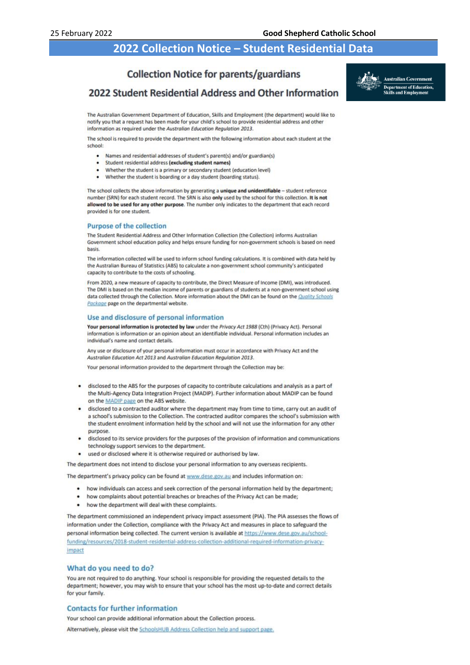## **2022 Collection Notice – Student Residential Data**

#### **Collection Notice for parents/guardians**

#### 2022 Student Residential Address and Other Information



The Australian Government Department of Education, Skills and Employment (the department) would like to notify you that a request has been made for your child's school to provide residential address and other information as required under the Australian Education Regulation 2013.

The school is required to provide the department with the following information about each student at the school

- Names and residential addresses of student's parent(s) and/or guardian(s)
- Student residential address lexcluding student names)
- Whether the student is a primary or secondary student (education level)
- Whether the student is boarding or a day student (boarding status).

The school collects the above information by generating a unique and unidentifiable - student reference number (SRN) for each student record. The SRN is also only used by the school for this collection. It is not allowed to be used for any other purpose. The number only indicates to the department that each record provided is for one student.

#### **Purpose of the collection**

The Student Residential Address and Other Information Collection (the Collection) informs Australian Government school education policy and helps ensure funding for non-government schools is based on need basis.

The information collected will be used to inform school funding calculations. It is combined with data held by the Australian Bureau of Statistics (ABS) to calculate a non-government school community's anticipated capacity to contribute to the costs of schooling.

From 2020, a new measure of capacity to contribute, the Direct Measure of Income (DMI), was introduced. The DMI is based on the median income of parents or guardians of students at a non-government school using data collected through the Collection. More information about the DMI can be found on the Quality Schools Package page on the departmental website.

#### Use and disclosure of personal information

Your personal information is protected by law under the Privacy Act 1988 (Cth) (Privacy Act). Personal information is information or an opinion about an identifiable individual. Personal information includes an individual's name and contact details

Any use or disclosure of your personal information must occur in accordance with Privacy Act and the Australian Education Act 2013 and Australian Education Regulation 2013.

Your personal information provided to the department through the Collection may be:

- disclosed to the ABS for the purposes of capacity to contribute calculations and analysis as a part of the Multi-Agency Data Integration Project (MADIP). Further information about MADIP can be found on the MADIP page on the ABS website.
- disclosed to a contracted auditor where the department may from time to time, carry out an audit of a school's submission to the Collection. The contracted auditor compares the school's submission with the student enrolment information held by the school and will not use the information for any other nurnose
- disclosed to its service providers for the purposes of the provision of information and communications technology support services to the department.
- used or disclosed where it is otherwise required or authorised by law.

The department does not intend to disclose your personal information to any overseas recipients.

The department's privacy policy can be found at www.dese.gov.au and includes information on:

- how individuals can access and seek correction of the personal information held by the department;
- how complaints about potential breaches or breaches of the Privacy Act can be made;
- how the department will deal with these complaints.

The department commissioned an independent privacy impact assessment (PIA). The PIA assesses the flows of information under the Collection, compliance with the Privacy Act and measures in place to safeguard the personal information being collected. The current version is available at https://www.dese.gov.au/schoolfunding/resources/2018-student-residential-address-collection-additional-required-information-privacyimpact

#### What do you need to do?

You are not required to do anything. Your school is responsible for providing the requested details to the department; however, you may wish to ensure that your school has the most up-to-date and correct details for your family.

#### **Contacts for further information**

Your school can provide additional information about the Collection process.

Alternatively, please visit the SchoolsHUB Address Collection help and support page.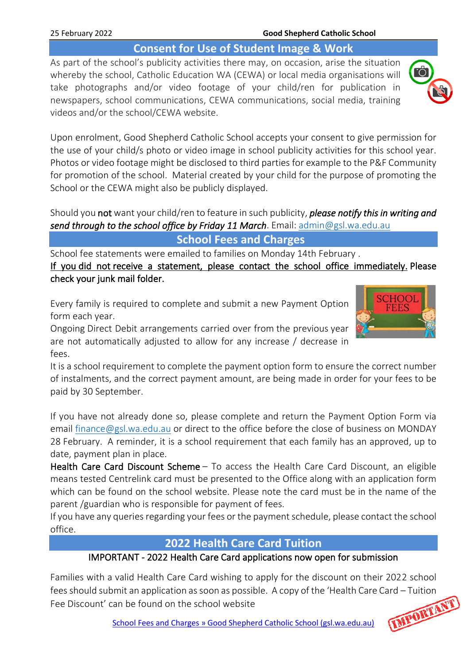# **Consent for Use of Student Image & Work**

As part of the school's publicity activities there may, on occasion, arise the situation whereby the school, Catholic Education WA (CEWA) or local media organisations will take photographs and/or video footage of your child/ren for publication in newspapers, school communications, CEWA communications, social media, training videos and/or the school/CEWA website.

Upon enrolment, Good Shepherd Catholic School accepts your consent to give permission for the use of your child/s photo or video image in school publicity activities for this school year. Photos or video footage might be disclosed to third parties for example to the P&F Community for promotion of the school. Material created by your child for the purpose of promoting the School or the CEWA might also be publicly displayed.

Should you not want your child/ren to feature in such publicity, *please notify this in writing and send through to the school office by Friday 11 March*. Email: [admin@gsl.wa.edu.au](mailto:admin@gsl.wa.edu.au)

**School Fees and Charges**

School fee statements were emailed to families on Monday 14th February . If you did not receive a statement, please contact the school office immediately. Please check your junk mail folder.

Every family is required to complete and submit a new Payment Option form each year.

Ongoing Direct Debit arrangements carried over from the previous year are not automatically adjusted to allow for any increase / decrease in fees.

It is a school requirement to complete the payment option form to ensure the correct number of instalments, and the correct payment amount, are being made in order for your fees to be paid by 30 September.

If you have not already done so, please complete and return the Payment Option Form via email [finance@gsl.wa.edu.au](mailto:finance@gsl.wa.edu.au) or direct to the office before the close of business on MONDAY 28 February. A reminder, it is a school requirement that each family has an approved, up to date, payment plan in place.

Health Care Card Discount Scheme – To access the Health Care Card Discount, an eligible means tested Centrelink card must be presented to the Office along with an application form which can be found on the school website. Please note the card must be in the name of the parent /guardian who is responsible for payment of fees.

If you have any queries regarding your fees or the payment schedule, please contact the school office.

# **2022 Health Care Card Tuition**

## IMPORTANT - 2022 Health Care Card applications now open for submission

Families with a valid Health Care Card wishing to apply for the discount on their 2022 school fees should submit an application as soon as possible. A copy of the 'Health Care Card – Tuition<br>Fee Discount' can be found on the school website<br>School Fees and Charges » Good Shorkard 2 Fee Discount' can be found on the school website

[School Fees and Charges » Good Shepherd Catholic School \(gsl.wa.edu.au\)](http://web.gsl.wa.edu.au/our-families/school-fees-and-charges/)





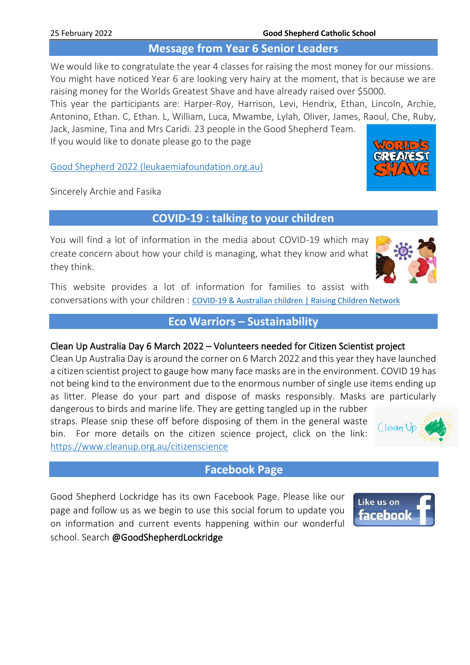## **Message from Year 6 Senior Leaders**

We would like to congratulate the year 4 classes for raising the most money for our missions. You might have noticed Year 6 are looking very hairy at the moment, that is because we are raising money for the Worlds Greatest Shave and have already raised over \$5000.

This year the participants are: Harper-Roy, Harrison, Levi, Hendrix, Ethan, Lincoln, Archie, Antonino, Ethan. C, Ethan. L, William, Luca, Mwambe, Lylah, Oliver, James, Raoul, Che, Ruby,

Jack, Jasmine, Tina and Mrs Caridi. 23 people in the Good Shepherd Team. If you would like to donate please go to the page

Good Shepherd 2022 [\(leukaemiafoundation.org.au\)](https://secure.leukaemiafoundation.org.au/registrant/TeamFundraisingPage.aspx?TeamID=135984)

Sincerely Archie and Fasika

# **COVID-19 : talking to your children**

You will find a lot of information in the media about COVID-19 which may create concern about how your child is managing, what they know and what they think.

This website provides a lot of information for families to assist with conversations with your children : [COVID-19 & Australian children | Raising Children Network](https://raisingchildren.net.au/guides/a-z-health-reference/coronavirus-and-children-in-australia#talking-with-children-about-covid-19-nav-title)

## **Eco Warriors – Sustainability**

### Clean Up Australia Day 6 March 2022 – Volunteers needed for Citizen Scientist project

Clean Up Australia Day is around the corner on 6 March 2022 and this year they have launched a citizen scientist project to gauge how many face masks are in the environment. COVID 19 has not being kind to the environment due to the enormous number of single use items ending up as litter. Please do your part and dispose of masks responsibly. Masks are particularly

dangerous to birds and marine life. They are getting tangled up in the rubber straps. Please snip these off before disposing of them in the general waste bin. For more details on the citizen science project, click on the link: <https://www.cleanup.org.au/citizenscience>

## **Facebook Page**

Good Shepherd Lockridge has its own Facebook Page. Please like our page and follow us as we begin to use this social forum to update you on information and current events happening within our wonderful school. Search @GoodShepherdLockridge







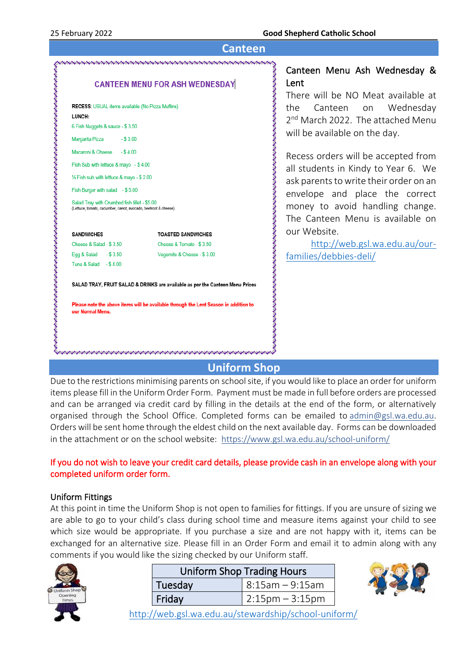| Canteen                                                                                                                                                                                                                                                                 |                                                                                                                                                                                                                                                                                                                                                                                                                              |  |  |  |
|-------------------------------------------------------------------------------------------------------------------------------------------------------------------------------------------------------------------------------------------------------------------------|------------------------------------------------------------------------------------------------------------------------------------------------------------------------------------------------------------------------------------------------------------------------------------------------------------------------------------------------------------------------------------------------------------------------------|--|--|--|
| <u>\afafafafafafafafafafafafafafafafafa</u>                                                                                                                                                                                                                             |                                                                                                                                                                                                                                                                                                                                                                                                                              |  |  |  |
| <b>CANTEEN MENU FOR ASH WEDNESDAY</b><br>RECESS: USUAL items available (No Pizza Muffins)<br>LUNCH:<br>6 Fish Nuggets & sauce - \$3.50<br>Margarita Pizza<br>$- $3.00$                                                                                                  | Canteen Menu Ash Wednesday &<br>Lent<br>There will be NO Meat available at<br>the Canteen<br>on Wednesday<br>2 <sup>nd</sup> March 2022. The attached Menu<br>will be available on the day.<br>Recess orders will be accepted from<br>all students in Kindy to Year 6. We<br>ask parents to write their order on an<br>envelope and place the correct<br>money to avoid handling change.<br>The Canteen Menu is available on |  |  |  |
| Macaroni & Cheese - \$4.00<br>Fish Sub with lettuce & mayo - \$4.00<br>1/2 Fish sub with lettuce & mayo - \$ 2.00<br>Fish Burger with salad - \$5.00<br>Salad Tray with Crumbed fish fillet - \$5.00<br>(Lettuce, tomato, cucumber, carrot, avocado, beetroot & cheese) |                                                                                                                                                                                                                                                                                                                                                                                                                              |  |  |  |
| <b>SANDWICHES</b><br><b>TOASTED SANDWICHES</b>                                                                                                                                                                                                                          | our Website.                                                                                                                                                                                                                                                                                                                                                                                                                 |  |  |  |
| Cheese & Salad - $$3.50$<br>Cheese & Tomato - \$3.50                                                                                                                                                                                                                    | http://web.gsl.wa.edu.au/our-                                                                                                                                                                                                                                                                                                                                                                                                |  |  |  |
| Vegemite & Cheese - \$3.00<br>Egg & Salad - \$3.50<br>Tuna & Salad - \$4.00                                                                                                                                                                                             | families/debbies-deli/                                                                                                                                                                                                                                                                                                                                                                                                       |  |  |  |
| SALAD TRAY, FRUIT SALAD & DRINKS are available as per the Canteen Menu Prices                                                                                                                                                                                           |                                                                                                                                                                                                                                                                                                                                                                                                                              |  |  |  |
| Please note the above items will be available through the Lent Season in addition to<br>our Normal Menu.                                                                                                                                                                |                                                                                                                                                                                                                                                                                                                                                                                                                              |  |  |  |

## **Uniform Shop**

Due to the restrictions minimising parents on school site, if you would like to place an order for uniform items please fill in the Uniform Order Form. Payment must be made in full before orders are processed and can be arranged via credit card by filling in the details at the end of the form, or alternatively organised through the School Office. Completed forms can be emailed to [admin@gsl.wa.edu.au.](mailto:admin@gsl.wa.edu.au) Orders will be sent home through the eldest child on the next available day. Forms can be downloaded in the attachment or on the school website: <https://www.gsl.wa.edu.au/school-uniform/>

#### If you do not wish to leave your credit card details, please provide cash in an envelope along with your completed uniform order form.

#### Uniform Fittings

At this point in time the Uniform Shop is not open to families for fittings. If you are unsure of sizing we are able to go to your child's class during school time and measure items against your child to see which size would be appropriate. If you purchase a size and are not happy with it, items can be exchanged for an alternative size. Please fill in an Order Form and email it to admin along with any comments if you would like the sizing checked by our Uniform staff.



| <b>Uniform Shop Trading Hours</b> |                         |  |
|-----------------------------------|-------------------------|--|
| Tuesday                           | $  8:15$ am $- 9:15$ am |  |
| Friday                            | $2:15$ pm – 3:15pm      |  |



<http://web.gsl.wa.edu.au/stewardship/school-uniform/>